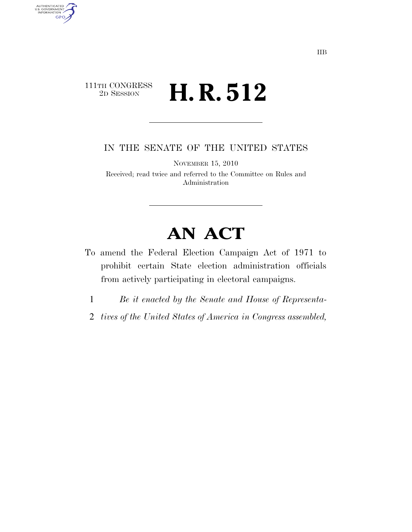### 111TH CONGRESS<br>2D SESSION 2D SESSION **H. R. 512**

AUTHENTICATED<br>U.S. GOVERNMENT<br>INFORMATION **GPO** 

IN THE SENATE OF THE UNITED STATES

NOVEMBER 15, 2010

Received; read twice and referred to the Committee on Rules and Administration

# **AN ACT**

- To amend the Federal Election Campaign Act of 1971 to prohibit certain State election administration officials from actively participating in electoral campaigns.
	- 1 *Be it enacted by the Senate and House of Representa-*
- 2 *tives of the United States of America in Congress assembled,*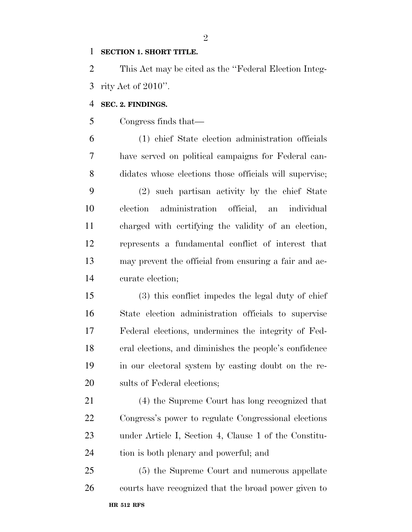#### **SECTION 1. SHORT TITLE.**

 This Act may be cited as the ''Federal Election Integ-rity Act of 2010''.

#### **SEC. 2. FINDINGS.**

Congress finds that—

 (1) chief State election administration officials have served on political campaigns for Federal can- didates whose elections those officials will supervise; (2) such partisan activity by the chief State election administration official, an individual charged with certifying the validity of an election, represents a fundamental conflict of interest that may prevent the official from ensuring a fair and ac-curate election;

 (3) this conflict impedes the legal duty of chief State election administration officials to supervise Federal elections, undermines the integrity of Fed- eral elections, and diminishes the people's confidence in our electoral system by casting doubt on the re-sults of Federal elections;

 (4) the Supreme Court has long recognized that Congress's power to regulate Congressional elections under Article I, Section 4, Clause 1 of the Constitu-tion is both plenary and powerful; and

**HR 512 RFS**  (5) the Supreme Court and numerous appellate courts have recognized that the broad power given to

 $\mathfrak{D}$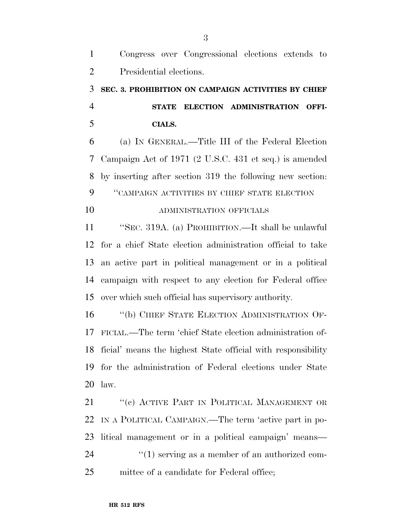# **SEC. 3. PROHIBITION ON CAMPAIGN ACTIVITIES BY CHIEF STATE ELECTION ADMINISTRATION OFFI-CIALS.**

 (a) IN GENERAL.—Title III of the Federal Election Campaign Act of 1971 (2 U.S.C. 431 et seq.) is amended by inserting after section 319 the following new section: ''CAMPAIGN ACTIVITIES BY CHIEF STATE ELECTION

### ADMINISTRATION OFFICIALS

 ''SEC. 319A. (a) PROHIBITION.—It shall be unlawful for a chief State election administration official to take an active part in political management or in a political campaign with respect to any election for Federal office over which such official has supervisory authority.

 ''(b) CHIEF STATE ELECTION ADMINISTRATION OF- FICIAL.—The term 'chief State election administration of- ficial' means the highest State official with responsibility for the administration of Federal elections under State law.

21 "(c) ACTIVE PART IN POLITICAL MANAGEMENT OR IN A POLITICAL CAMPAIGN.—The term 'active part in po- litical management or in a political campaign' means—  $\frac{1}{2}$  (1) serving as a member of an authorized com-mittee of a candidate for Federal office;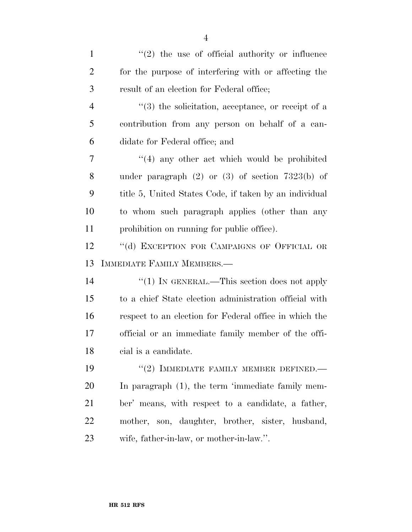| $\mathbf{1}$   | $\lq(2)$ the use of official authority or influence    |
|----------------|--------------------------------------------------------|
| $\overline{2}$ | for the purpose of interfering with or affecting the   |
| 3              | result of an election for Federal office;              |
| $\overline{4}$ | $(3)$ the solicitation, acceptance, or receipt of a    |
| 5              | contribution from any person on behalf of a can-       |
| 6              | didate for Federal office; and                         |
| 7              | $\cdot$ (4) any other act which would be prohibited    |
| 8              | under paragraph $(2)$ or $(3)$ of section 7323(b) of   |
| 9              | title 5, United States Code, if taken by an individual |
| 10             | to whom such paragraph applies (other than any         |
| 11             | prohibition on running for public office).             |
| 12             | "(d) EXCEPTION FOR CAMPAIGNS OF OFFICIAL OR            |
| 13             | IMMEDIATE FAMILY MEMBERS.-                             |
| 14             | "(1) IN GENERAL.—This section does not apply           |
| 15             | to a chief State election administration official with |
| 16             | respect to an election for Federal office in which the |
| 17             | official or an immediate family member of the offi-    |
| 18             | cial is a candidate.                                   |
| 19             | $``(2)$ IMMEDIATE FAMILY MEMBER DEFINED.               |
| <b>20</b>      | In paragraph (1), the term 'immediate family mem-      |
| 21             | ber' means, with respect to a candidate, a father,     |
| 22             | mother, son, daughter, brother, sister, husband,       |
| 23             | wife, father-in-law, or mother-in-law.".               |